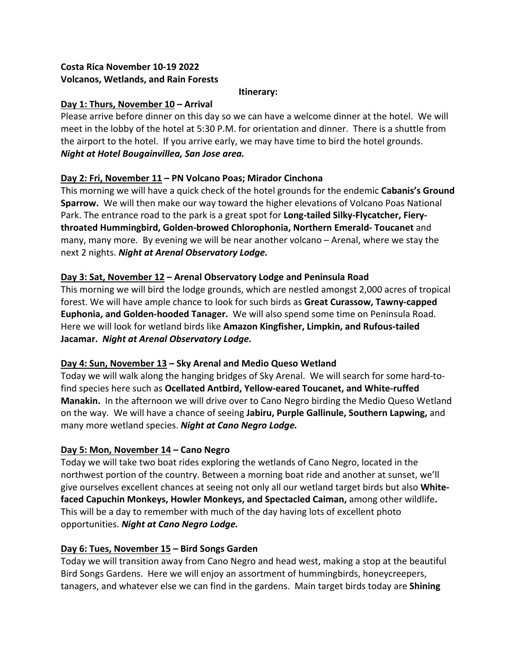# **Costa Rica November 10-19 2022 Volcanos, Wetlands, and Rain Forests**

#### **Itinerary:**

### **Day 1: Thurs, November 10 – Arrival**

Please arrive before dinner on this day so we can have a welcome dinner at the hotel. We will meet in the lobby of the hotel at 5:30 P.M. for orientation and dinner. There is a shuttle from the airport to the hotel. If you arrive early, we may have time to bird the hotel grounds. *Night at Hotel Bougainvillea, San Jose area.*

# **Day 2: Fri, November 11 – PN Volcano Poas; Mirador Cinchona**

This morning we will have a quick check of the hotel grounds for the endemic **Cabanis's Ground Sparrow.** We will then make our way toward the higher elevations of Volcano Poas National Park. The entrance road to the park is a great spot for **Long-tailed Silky-Flycatcher, Fierythroated Hummingbird, Golden-browed Chlorophonia, Northern Emerald- Toucanet** and many, many more. By evening we will be near another volcano – Arenal, where we stay the next 2 nights. *Night at Arenal Observatory Lodge.*

# **Day 3: Sat, November 12 – Arenal Observatory Lodge and Peninsula Road**

This morning we will bird the lodge grounds, which are nestled amongst 2,000 acres of tropical forest. We will have ample chance to look for such birds as **Great Curassow, Tawny-capped Euphonia, and Golden-hooded Tanager.** We will also spend some time on Peninsula Road. Here we will look for wetland birds like **Amazon Kingfisher, Limpkin, and Rufous-tailed Jacamar.** *Night at Arenal Observatory Lodge.*

### **Day 4: Sun, November 13 – Sky Arenal and Medio Queso Wetland**

Today we will walk along the hanging bridges of Sky Arenal. We will search for some hard-tofind species here such as **Ocellated Antbird, Yellow-eared Toucanet, and White-ruffed Manakin.** In the afternoon we will drive over to Cano Negro birding the Medio Queso Wetland on the way. We will have a chance of seeing **Jabiru, Purple Gallinule, Southern Lapwing,** and many more wetland species. *Night at Cano Negro Lodge.*

# **Day 5: Mon, November 14 – Cano Negro**

Today we will take two boat rides exploring the wetlands of Cano Negro, located in the northwest portion of the country. Between a morning boat ride and another at sunset, we'll give ourselves excellent chances at seeing not only all our wetland target birds but also **Whitefaced Capuchin Monkeys, Howler Monkeys, and Spectacled Caiman,** among other wildlife**.**  This will be a day to remember with much of the day having lots of excellent photo opportunities. *Night at Cano Negro Lodge.*

### **Day 6: Tues, November 15 – Bird Songs Garden**

Today we will transition away from Cano Negro and head west, making a stop at the beautiful Bird Songs Gardens. Here we will enjoy an assortment of hummingbirds, honeycreepers, tanagers, and whatever else we can find in the gardens. Main target birds today are **Shining**